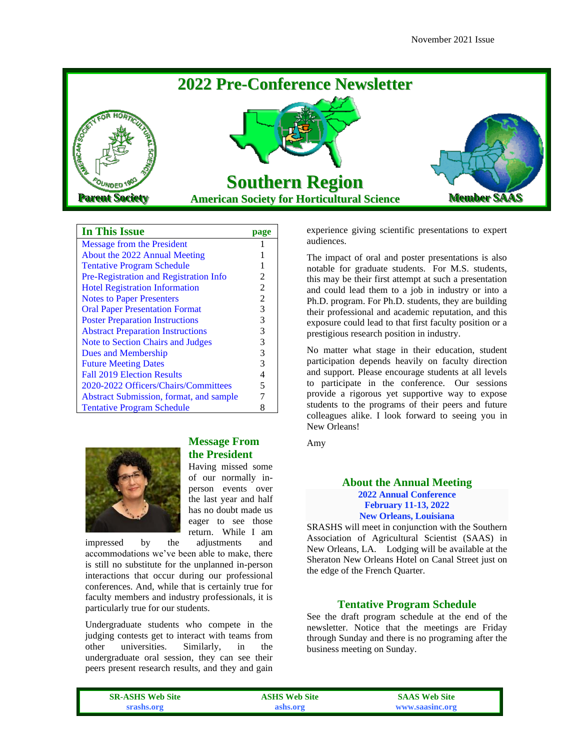

# **In This Issue page**

| <b>Message from the President</b>        |   |
|------------------------------------------|---|
| About the 2022 Annual Meeting            |   |
| <b>Tentative Program Schedule</b>        |   |
| Pre-Registration and Registration Info   | 2 |
| <b>Hotel Registration Information</b>    | 2 |
| <b>Notes to Paper Presenters</b>         | 2 |
| <b>Oral Paper Presentation Format</b>    | 3 |
| <b>Poster Preparation Instructions</b>   | 3 |
| <b>Abstract Preparation Instructions</b> | 3 |
| Note to Section Chairs and Judges        | 3 |
| Dues and Membership                      | 3 |
| <b>Future Meeting Dates</b>              | 3 |
| <b>Fall 2019 Election Results</b>        | 4 |
| 2020-2022 Officers/Chairs/Committees     | 5 |
| Abstract Submission, format, and sample  |   |
| <b>Tentative Program Schedule</b>        |   |



## **Message From the President**

Having missed some of our normally inperson events over the last year and half has no doubt made us eager to see those return. While I am

impressed by the adjustments and accommodations we've been able to make, there is still no substitute for the unplanned in-person interactions that occur during our professional conferences. And, while that is certainly true for faculty members and industry professionals, it is particularly true for our students.

Undergraduate students who compete in the judging contests get to interact with teams from other universities. Similarly, in the undergraduate oral session, they can see their peers present research results, and they and gain

experience giving scientific presentations to expert audiences.

The impact of oral and poster presentations is also notable for graduate students. For M.S. students, this may be their first attempt at such a presentation and could lead them to a job in industry or into a Ph.D. program. For Ph.D. students, they are building their professional and academic reputation, and this exposure could lead to that first faculty position or a prestigious research position in industry.

No matter what stage in their education, student participation depends heavily on faculty direction and support. Please encourage students at all levels to participate in the conference. Our sessions provide a rigorous yet supportive way to expose students to the programs of their peers and future colleagues alike. I look forward to seeing you in New Orleans!

Amy

### **About the Annual Meeting 2022 Annual Conference February 11-13, 2022 New Orleans, Louisiana**

SRASHS will meet in conjunction with the Southern Association of Agricultural Scientist (SAAS) in New Orleans, LA. Lodging will be available at the Sheraton New Orleans Hotel on Canal Street just on the edge of the French Quarter.

## **Tentative Program Schedule**

See the draft program schedule at the end of the newsletter. Notice that the meetings are Friday through Sunday and there is no programing after the business meeting on Sunday.

| <b>SR-ASHS Web Site</b> | <b>ASHS Web Site</b> | <b>SAAS Web Site</b> |
|-------------------------|----------------------|----------------------|
| srashs.org              | ashs.org             | www.saasinc.org      |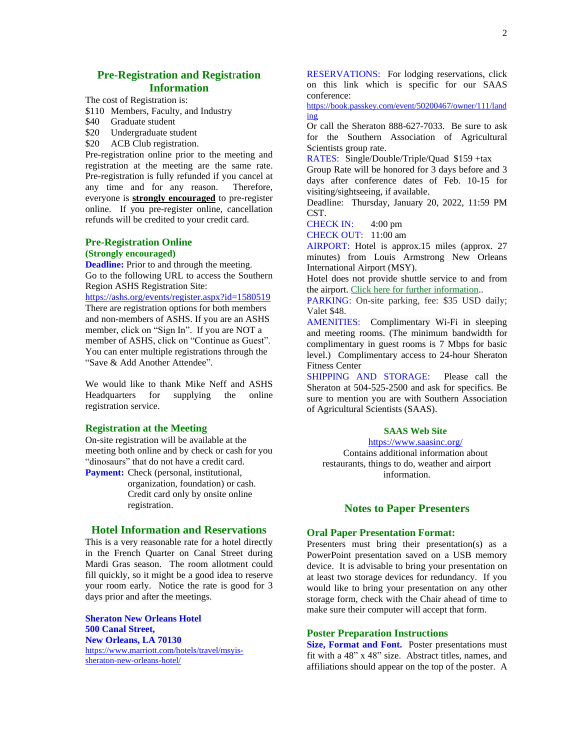## **Pre-Registration and Regist**r**ation Information**

The cost of Registration is:

- \$110 Members, Faculty, and Industry
- \$40 Graduate student
- \$20 Undergraduate student
- \$20 ACB Club registration.

Pre-registration online prior to the meeting and registration at the meeting are the same rate. Pre-registration is fully refunded if you cancel at any time and for any reason. Therefore, everyone is **strongly encouraged** to pre-register online. If you pre-register online, cancellation refunds will be credited to your credit card.

# **Pre-Registration Online**

#### **(Strongly encouraged)**

**Deadline:** Prior to and through the meeting. Go to the following URL to access the Southern Region ASHS Registration Site:

[https://ashs.org/events/register.aspx?id=1580519](https://nam10.safelinks.protection.outlook.com/?url=https%3A%2F%2Fashs.org%2Fevents%2Fregister.aspx%3Fid%3D1580519&data=04%7C01%7CDavid.Reed%40ag.tamu.edu%7C198d9e49670f47cfdd7308d9b35d422c%7C9fd7580a64724d9ca142d131d3a7a116%7C0%7C0%7C637738035388631851%7CUnknown%7CTWFpbGZsb3d8eyJWIjoiMC4wLjAwMDAiLCJQIjoiV2luMzIiLCJBTiI6Ik1haWwiLCJXVCI6Mn0%3D%7C3000&sdata=5kLLm92juH2q2gJZoRgGLAqTNwxufP1WZ3DCQCpNthQ%3D&reserved=0)

There are registration options for both members and non-members of ASHS. If you are an ASHS member, click on "Sign In". If you are NOT a member of ASHS, click on "Continue as Guest". You can enter multiple registrations through the "Save & Add Another Attendee"*.*

We would like to thank Mike Neff and ASHS Headquarters for supplying the online registration service.

#### **Registration at the Meeting**

On-site registration will be available at the meeting both online and by check or cash for you "dinosaurs" that do not have a credit card.

**Payment:** Check (personal, institutional, organization, foundation) or cash. Credit card only by onsite online registration.

## **Hotel Information and Reservations**

This is a very reasonable rate for a hotel directly in the French Quarter on Canal Street during Mardi Gras season. The room allotment could fill quickly, so it might be a good idea to reserve your room early. Notice the rate is good for 3 days prior and after the meetings.

**Sheraton New Orleans Hotel 500 Canal Street, New Orleans, LA 70130** [https://www.marriott.com/hotels/travel/msyis](https://www.marriott.com/hotels/travel/msyis-sheraton-new-orleans-hotel/)[sheraton-new-orleans-hotel/](https://www.marriott.com/hotels/travel/msyis-sheraton-new-orleans-hotel/)

RESERVATIONS: For lodging reservations, click on this link which is specific for our SAAS conference:

[https://book.passkey.com/event/50200467/owner/111/land](https://book.passkey.com/event/50200467/owner/111/landing) [ing](https://book.passkey.com/event/50200467/owner/111/landing)

Or call the Sheraton 888-627-7033. Be sure to ask for the Southern Association of Agricultural Scientists group rate.

RATES: Single/Double/Triple/Quad \$159 +tax

Group Rate will be honored for 3 days before and 3 days after conference dates of Feb. 10-15 for visiting/sightseeing, if available.

Deadline: Thursday, January 20, 2022, 11:59 PM CST.

CHECK IN: 4:00 pm

CHECK OUT: 11:00 am

AIRPORT: Hotel is approx.15 miles (approx. 27 minutes) from [Louis Armstrong New Orleans](https://flymsy.com/)  [International Airport \(MSY\).](https://flymsy.com/)

Hotel does not provide shuttle service to and from the airport[. Click here for further information..](https://www.saasinc.org/airport-info-1)

PARKING: On-site parking, fee: \$35 USD daily; Valet \$48.

AMENITIES: Complimentary Wi-Fi in sleeping and meeting rooms. (The minimum bandwidth for complimentary in guest rooms is 7 Mbps for basic level.) Complimentary access to 24-hour Sheraton Fitness Center

SHIPPING AND STORAGE: Please call the Sheraton at 504-525-2500 and ask for specifics. Be sure to mention you are with Southern Association of Agricultural Scientists (SAAS).

#### **SAAS Web Site**

<https://www.saasinc.org/> Contains additional information about restaurants, things to do, weather and airport information.

## **Notes to Paper Presenters**

### **Oral Paper Presentation Format:**

Presenters must bring their presentation(s) as a PowerPoint presentation saved on a USB memory device. It is advisable to bring your presentation on at least two storage devices for redundancy. If you would like to bring your presentation on any other storage form, check with the Chair ahead of time to make sure their computer will accept that form.

### **Poster Preparation Instructions**

**Size, Format and Font.** Poster presentations must fit with a 48" x 48" size. Abstract titles, names, and affiliations should appear on the top of the poster. A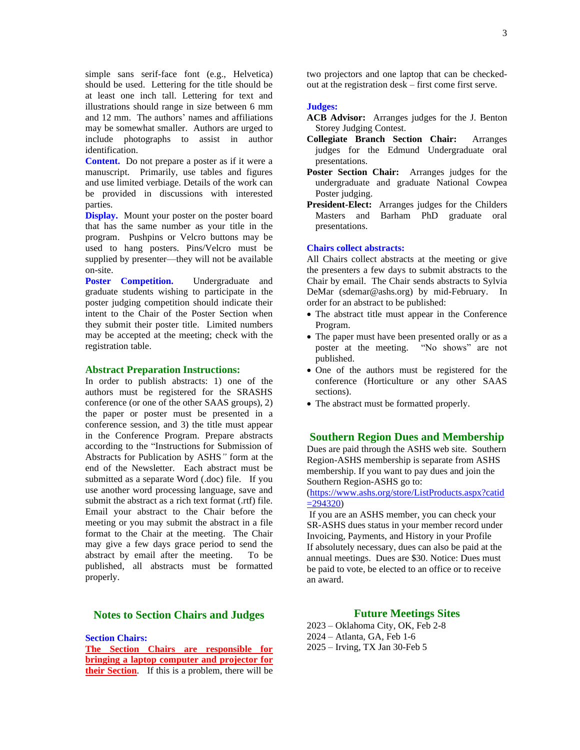simple sans serif-face font (e.g., Helvetica) should be used. Lettering for the title should be at least one inch tall. Lettering for text and illustrations should range in size between 6 mm and 12 mm. The authors' names and affiliations may be somewhat smaller. Authors are urged to include photographs to assist in author identification.

**Content.** Do not prepare a poster as if it were a manuscript. Primarily, use tables and figures and use limited verbiage. Details of the work can be provided in discussions with interested parties.

**Display.** Mount your poster on the poster board that has the same number as your title in the program.Pushpins or Velcro buttons may be used to hang posters. Pins/Velcro must be supplied by presenter—they will not be available on-site.

**Poster Competition.** Undergraduate and graduate students wishing to participate in the poster judging competition should indicate their intent to the Chair of the Poster Section when they submit their poster title. Limited numbers may be accepted at the meeting; check with the registration table.

#### **Abstract Preparation Instructions:**

In order to publish abstracts: 1) one of the authors must be registered for the SRASHS conference (or one of the other SAAS groups), 2) the paper or poster must be presented in a conference session, and 3) the title must appear in the Conference Program. Prepare abstracts according to the "Instructions for Submission of Abstracts for Publication by ASHS*"* form at the end of the Newsletter. Each abstract must be submitted as a separate Word (.doc) file. If you use another word processing language, save and submit the abstract as a rich text format (.rtf) file. Email your abstract to the Chair before the meeting or you may submit the abstract in a file format to the Chair at the meeting. The Chair may give a few days grace period to send the abstract by email after the meeting. To be published, all abstracts must be formatted properly.

## **Notes to Section Chairs and Judges**

**Section Chairs:**

**The Section Chairs are responsible for bringing a laptop computer and projector for their Section**. If this is a problem, there will be

two projectors and one laptop that can be checkedout at the registration desk – first come first serve.

#### **Judges:**

- **ACB Advisor:** Arranges judges for the J. Benton Storey Judging Contest.
- **Collegiate Branch Section Chair:** Arranges judges for the Edmund Undergraduate oral presentations.
- **Poster Section Chair:** Arranges judges for the undergraduate and graduate National Cowpea Poster judging.
- **President-Elect:** Arranges judges for the Childers Masters and Barham PhD graduate oral presentations.

#### **Chairs collect abstracts:**

All Chairs collect abstracts at the meeting or give the presenters a few days to submit abstracts to the Chair by email. The Chair sends abstracts to Sylvia DeMar (sdemar@ashs.org) by mid-February. In order for an abstract to be published:

- The abstract title must appear in the Conference Program.
- The paper must have been presented orally or as a poster at the meeting. "No shows" are not published.
- One of the authors must be registered for the conference (Horticulture or any other SAAS sections).
- The abstract must be formatted properly.

### **Southern Region Dues and Membership**

Dues are paid through the ASHS web site. Southern Region-ASHS membership is separate from ASHS membership. If you want to pay dues and join the Southern Region-ASHS go to:

[\(https://www.ashs.org/store/ListProducts.aspx?catid](https://urldefense.proofpoint.com/v2/url?u=https-3A__www.ashs.org_store_ListProducts.aspx-3Fcatid-3D294320&d=DwMFaQ&c=ODFT-G5SujMiGrKuoJJjVg&r=BEFT2tuFGZRdqgs5ijmDZw&m=gfIn4ceoweXKuORdT9aB-8v6oNTFKnJpEZN6dcKlVjg&s=caSSnbUDR-pnw6ZhqV-tQBSjKIzsRSGzgXLsenbEZxU&e=)  $=294320$ 

If you are an ASHS member, you can check your SR-ASHS dues status in your member record under Invoicing, Payments, and History in your Profile If absolutely necessary, dues can also be paid at the annual meetings. Dues are \$30. Notice: Dues must be paid to vote, be elected to an office or to receive an award.

### **Future Meetings Sites**

2023 – Oklahoma City, OK, Feb 2-8 2024 – Atlanta, GA, Feb 1-6 2025 – Irving, TX Jan 30-Feb 5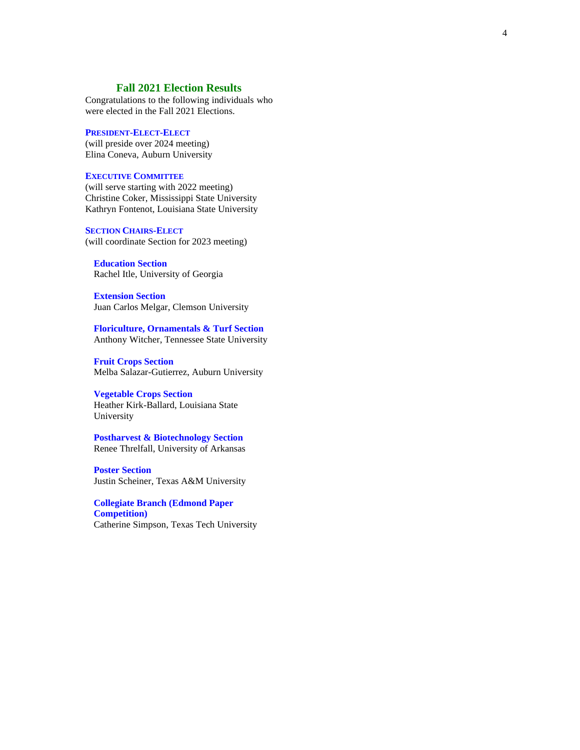## **Fall 20 2 1 Election Results**

Congratulations to the following individuals who were elected in the Fall 2021 Elections.

#### **PRESIDENT-ELECT-ELECT**

(will preside over 20 2 4 meeting) Elina Coneva , Auburn University

#### **EXECUTIVE COMMITTEE**

(will serve starting with 20 2 2 meeting) Christine Coker , Mississippi State University Kathryn Fontenot , Louisiana State University

#### **SECTION CHAIRS-ELECT**

(will coordinate Section for 20 2 3 meeting)

# **Education Section**

Rachel Itle, University of Georgia

**Extension Section** Juan Carlos Melgar, Clemson University

**Floriculture, Ornamentals & Turf Section** Anthony Witcher , Tennessee State Uni versity

**Fruit Crops Section** Melba Salazar -Gutierrez, Auburn University

## **Vegetable Crops Section**

Heather Kirk -Ballard, Louisiana State University

**Postharvest & Biotechnology Section** Renee Threlfall, University of Arkansas

**Poster Section** Justin Scheiner, Texas A&M University

**Collegiate Branch (Edmond Paper Competition)** Catherine Simpson , Texas Tech University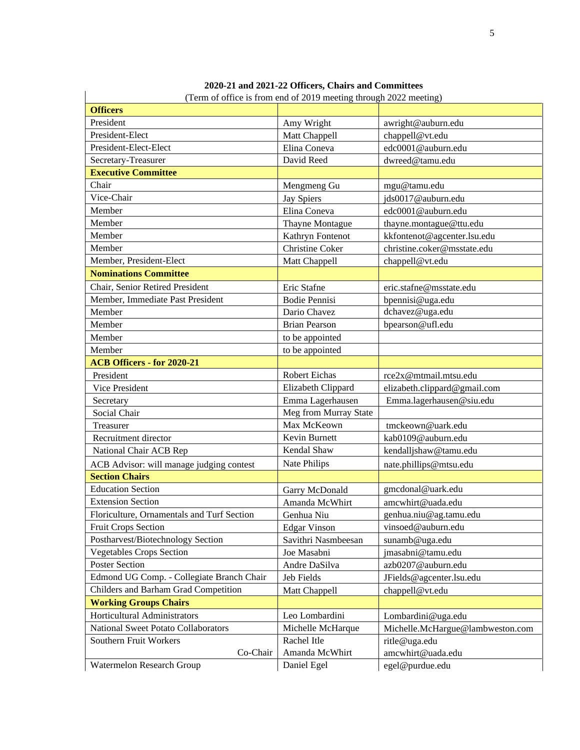|                                            | and $2021 - 22$ Officers, Chairs and Co<br>(Term of office is from end of 2019 meeting through 2022 meeting) |                                  |
|--------------------------------------------|--------------------------------------------------------------------------------------------------------------|----------------------------------|
| <b>Officers</b>                            |                                                                                                              |                                  |
| President                                  | Amy Wright                                                                                                   | awright@auburn.edu               |
| President-Elect                            | Matt Chappell                                                                                                | chappell@vt.edu                  |
| President-Elect-Elect                      | Elina Coneva                                                                                                 | edc0001@auburn.edu               |
| Secretary-Treasurer                        | David Reed                                                                                                   | dwreed@tamu.edu                  |
| <b>Executive Committee</b>                 |                                                                                                              |                                  |
| Chair                                      | Mengmeng Gu                                                                                                  | mgu@tamu.edu                     |
| Vice-Chair                                 | <b>Jay Spiers</b>                                                                                            | ids0017@auburn.edu               |
| Member                                     | Elina Coneva                                                                                                 | edc0001@auburn.edu               |
| Member                                     | Thayne Montague                                                                                              | thayne.montague@ttu.edu          |
| Member                                     | Kathryn Fontenot                                                                                             | kkfontenot@agcenter.lsu.edu      |
| Member                                     | Christine Coker                                                                                              | christine.coker@msstate.edu      |
| Member, President-Elect                    | Matt Chappell                                                                                                | chappell@vt.edu                  |
| <b>Nominations Committee</b>               |                                                                                                              |                                  |
|                                            |                                                                                                              |                                  |
| Chair, Senior Retired President            | Eric Stafne                                                                                                  | eric.stafne@msstate.edu          |
| Member, Immediate Past President           | <b>Bodie Pennisi</b>                                                                                         | bpennisi@uga.edu                 |
| Member                                     | Dario Chavez                                                                                                 | dchavez@uga.edu                  |
| Member                                     | <b>Brian Pearson</b>                                                                                         | bpearson@ufl.edu                 |
| Member                                     | to be appointed                                                                                              |                                  |
| Member                                     | to be appointed                                                                                              |                                  |
| <b>ACB Officers - for 2020-21</b>          |                                                                                                              |                                  |
| President                                  | Robert Eichas                                                                                                | rce2x@mtmail.mtsu.edu            |
| Vice President                             | Elizabeth Clippard                                                                                           | elizabeth.clippard@gmail.com     |
| Secretary                                  | Emma Lagerhausen                                                                                             | Emma.lagerhausen@siu.edu         |
| Social Chair                               | Meg from Murray State                                                                                        |                                  |
| Treasurer                                  | Max McKeown                                                                                                  | tmckeown@uark.edu                |
| Recruitment director                       | Kevin Burnett                                                                                                | kab0109@auburn.edu               |
| National Chair ACB Rep                     | Kendal Shaw                                                                                                  | kendalljshaw@tamu.edu            |
| ACB Advisor: will manage judging contest   | Nate Philips                                                                                                 | nate.phillips@mtsu.edu           |
| <b>Section Chairs</b>                      |                                                                                                              |                                  |
| <b>Education Section</b>                   | Garry McDonald                                                                                               | gmcdonal@uark.edu                |
| <b>Extension Section</b>                   | Amanda McWhirt                                                                                               | amcwhirt@uada.edu                |
| Floriculture, Ornamentals and Turf Section | Genhua Niu                                                                                                   | genhua.niu@ag.tamu.edu           |
| <b>Fruit Crops Section</b>                 | <b>Edgar Vinson</b>                                                                                          | vinsoed@auburn.edu               |
| Postharvest/Biotechnology Section          | Savithri Nasmbeesan                                                                                          | sunamb@uga.edu                   |
| <b>Vegetables Crops Section</b>            | Joe Masabni                                                                                                  | jmasabni@tamu.edu                |
| <b>Poster Section</b>                      | Andre DaSilva                                                                                                | azb0207@auburn.edu               |
| Edmond UG Comp. - Collegiate Branch Chair  | Jeb Fields                                                                                                   | JFields@agcenter.lsu.edu         |
| Childers and Barham Grad Competition       | Matt Chappell                                                                                                | chappell@vt.edu                  |
| <b>Working Groups Chairs</b>               |                                                                                                              |                                  |
| Horticultural Administrators               | Leo Lombardini                                                                                               | Lombardini@uga.edu               |
| <b>National Sweet Potato Collaborators</b> | Michelle McHarque                                                                                            | Michelle.McHargue@lambweston.com |
| Southern Fruit Workers                     | Rachel Itle                                                                                                  | ritle@uga.edu                    |
| Co-Chair                                   | Amanda McWhirt                                                                                               | amcwhirt@uada.edu                |
| Watermelon Research Group                  | Daniel Egel                                                                                                  | egel@purdue.edu                  |

# **2020-21 and 2021-22 Officers, Chairs and Committees**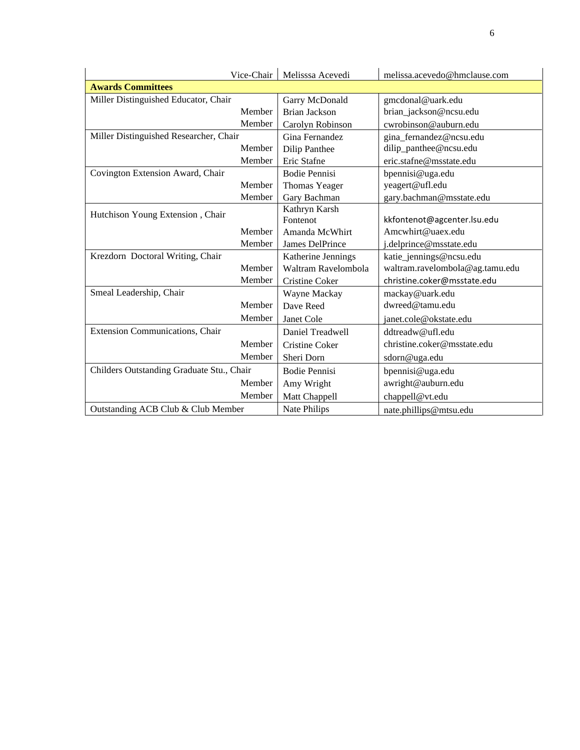| Vice-Chair                                | Melisssa Acevedi      | melissa.acevedo@hmclause.com    |
|-------------------------------------------|-----------------------|---------------------------------|
| <b>Awards Committees</b>                  |                       |                                 |
| Miller Distinguished Educator, Chair      | Garry McDonald        | gmcdonal@uark.edu               |
| Member                                    | <b>Brian Jackson</b>  | brian_jackson@ncsu.edu          |
| Member                                    | Carolyn Robinson      | cwrobinson@auburn.edu           |
| Miller Distinguished Researcher, Chair    | Gina Fernandez        | gina_fernandez@ncsu.edu         |
| Member                                    | Dilip Panthee         | dilip_panthee@ncsu.edu          |
| Member                                    | Eric Stafne           | eric.stafne@msstate.edu         |
| Covington Extension Award, Chair          | <b>Bodie Pennisi</b>  | bpennisi@uga.edu                |
| Member                                    | Thomas Yeager         | yeagert@ufl.edu                 |
| Member                                    | Gary Bachman          | gary.bachman@msstate.edu        |
| Hutchison Young Extension, Chair          | Kathryn Karsh         |                                 |
|                                           | Fontenot              | kkfontenot@agcenter.lsu.edu     |
| Member                                    | Amanda McWhirt        | Amcwhirt@uaex.edu               |
| Member                                    | James DelPrince       | j.delprince@msstate.edu         |
| Krezdorn Doctoral Writing, Chair          | Katherine Jennings    | katie_jennings@ncsu.edu         |
| Member                                    | Waltram Ravelombola   | waltram.ravelombola@ag.tamu.edu |
| Member                                    | Cristine Coker        | christine.coker@msstate.edu     |
| Smeal Leadership, Chair                   | Wayne Mackay          | mackay@uark.edu                 |
| Member                                    | Dave Reed             | dwreed@tamu.edu                 |
| Member                                    | Janet Cole            | janet.cole@okstate.edu          |
| Extension Communications, Chair           | Daniel Treadwell      | ddtreadw@ufl.edu                |
| Member                                    | <b>Cristine Coker</b> | christine.coker@msstate.edu     |
| Member                                    | Sheri Dorn            | sdorn@uga.edu                   |
| Childers Outstanding Graduate Stu., Chair | <b>Bodie Pennisi</b>  | bpennisi@uga.edu                |
| Member                                    | Amy Wright            | awright@auburn.edu              |
| Member                                    | Matt Chappell         | chappell@vt.edu                 |
| Outstanding ACB Club & Club Member        | Nate Philips          | nate.phillips@mtsu.edu          |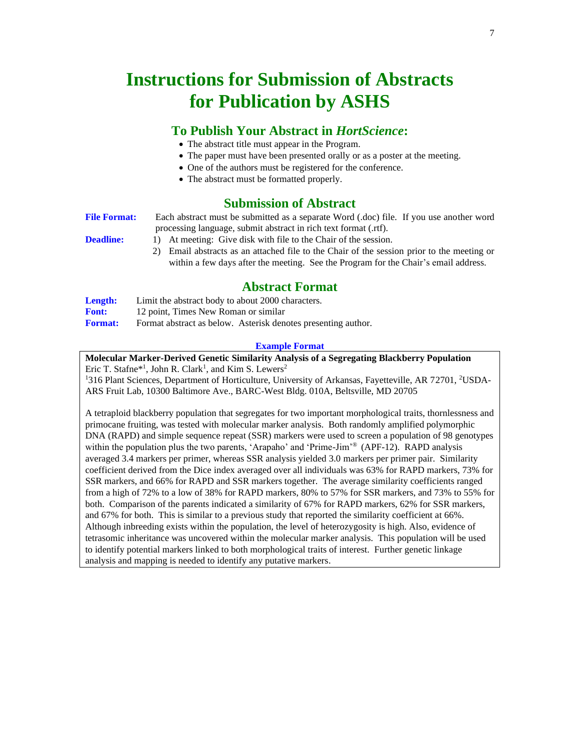# **Instructions for Submission of Abstracts for Publication by ASHS**

# **To Publish Your Abstract in** *HortScience***:**

- The abstract title must appear in the Program.
- The paper must have been presented orally or as a poster at the meeting.
- One of the authors must be registered for the conference.
- The abstract must be formatted properly.

# **Submission of Abstract**

**File Format:** Each abstract must be submitted as a separate Word (.doc) file. If you use another word processing language, submit abstract in rich text format (.rtf). **Deadline:** 1) At meeting: Give disk with file to the Chair of the session.

2) Email abstracts as an attached file to the Chair of the session prior to the meeting or within a few days after the meeting. See the Program for the Chair's email address.

# **Abstract Format**

| Length:        | Limit the abstract body to about 2000 characters.             |
|----------------|---------------------------------------------------------------|
| <b>Font:</b>   | 12 point, Times New Roman or similar                          |
| <b>Format:</b> | Format abstract as below. Asterisk denotes presenting author. |

### **Example Format**

**Molecular Marker-Derived Genetic Similarity Analysis of a Segregating Blackberry Population** Eric T. Stafne<sup>\*1</sup>, John R. Clark<sup>1</sup>, and Kim S. Lewers<sup>2</sup> <sup>1</sup>316 Plant Sciences, Department of Horticulture, University of Arkansas, Fayetteville, AR 72701, <sup>2</sup>USDA-

ARS Fruit Lab, 10300 Baltimore Ave., BARC-West Bldg. 010A, Beltsville, MD 20705

A tetraploid blackberry population that segregates for two important morphological traits, thornlessness and primocane fruiting, was tested with molecular marker analysis. Both randomly amplified polymorphic DNA (RAPD) and simple sequence repeat (SSR) markers were used to screen a population of 98 genotypes within the population plus the two parents, 'Arapaho' and 'Prime-Jim'<sup>®</sup> (APF-12). RAPD analysis averaged 3.4 markers per primer, whereas SSR analysis yielded 3.0 markers per primer pair. Similarity coefficient derived from the Dice index averaged over all individuals was 63% for RAPD markers, 73% for SSR markers, and 66% for RAPD and SSR markers together. The average similarity coefficients ranged from a high of 72% to a low of 38% for RAPD markers, 80% to 57% for SSR markers, and 73% to 55% for both. Comparison of the parents indicated a similarity of 67% for RAPD markers, 62% for SSR markers, and 67% for both. This is similar to a previous study that reported the similarity coefficient at 66%. Although inbreeding exists within the population, the level of heterozygosity is high. Also, evidence of tetrasomic inheritance was uncovered within the molecular marker analysis. This population will be used to identify potential markers linked to both morphological traits of interest. Further genetic linkage analysis and mapping is needed to identify any putative markers.